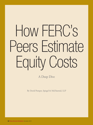# How FERC's Peers Estimate Equity Costs

A Deep Dive

By David Pomper, Spiegel & McDiarmid, LLP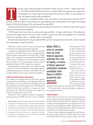

hrough a series of orders that began with Martha Coakley, Att'y Gen. of Mass. v. Bangor Hydro-Elec.<br>Co., 165 FERC ¶ 61,030, 2018 and cited here as Coakley, FERC has proposed a new approach to<br>estimating the cost of equity Co., 165 FERC **[** 61,030, 2018 and cited here as Coakley, FERC has proposed a new approach to estimating the cost of equity capital invested in pipelines and electric utilities. As this article goes to press, the proposal remains under consideration.

If adopted, it would dilute FERC's prior sole reliance on the Discounted Cash Flow (DCF) method, as FERC would now also include, with equal weighting, three other methods: The Capital Asset Pricing Model (CAPM), Risk Premium (RP), and Expected Earnings (E/B).

Broadly speaking, DCF finds the discount rate that matches present stock prices to the present value of the expected stream of present and future dividends.

CAPM centers on the return from an economy-wide equity portfolio – the equity market return. The method takes the part of that equity market return that exceeds a risk-free, treasury-type yield, and multiplies it by an individual stock's beta, meaning its risk, i.e., volatility, relative to the portfolio.

RP infers the relationship between past allowed ROEs and the contemporaneous bond yields, and then extends that relationship to current bond yields.

E/B divides an entity's actual or forecast accounting earnings by that entity's contemporaneous equity book value.

As support for using multiple methods, FERC has repeatedly asserted that other federal agencies rely on multiple methods, citing the Federal Communications Commission (FCC), Federal Reserve (Fed), and Surface Transportation Board (STB). While FERC is wise to consider how its sister federal agencies estimate the cost of equity, a review of those agencies' estimation methods spotlights fatal flaws in FERC's proposed new approach.

Summarized below are the equity cost estimation methods used by FCC, Fed, and STB; by four other federal agencies, including the Department of Energy, in which FERC is housed; by utility regulators in other nations; and by state regulators.

### **Federal Communications Commission**

FCC combines two methods: DCF and CAPM. FCC Wireline Competition Bureau Staff Report, Prescribing The Authorized Rate of Return: Analysis of Methods for Establishing Just and Reasonable Rates for Local Exchange Carriers, WC Docket No. 10-90, DA 13-1111, May 16, 2013; In re. Connect Am. Fund, 28 FCC Rcd. 7123, 7147, 2013; later order, In re. Connect Am. Fund, 81 Fed. Reg. 24282, Apr. 25, 2016.

While FCC's DCF method is not directly comparable to anything advanced at FERC, the FCC's version of CAPM is

**David E. Pomper**, a partner at Spiegel & McDiarmid, LLP, has practiced energy law for almost three decades. He chiefly represents ratepayer constituencies – transmission-dependent utilities, state commissions, and official consumer advocates. He presented oral argument to the D.C. Circuit, and secured remands, in two of the leading FERC electric transmission ROE cases of recent years: Emera Maine v. FERC (concerning ROEs in New England) and Ky. PSC v. FERC (concerning ROEs in the Midwest, now Midcontinent, ISO.)

While FERC is wise to consider how its sister federal agencies estimate the cost of equity, a review of those agencies' estimation methods spotlights fatal flaws in FERC's proposed new approach.

illuminating. FCC based its equity market return on "the average historical market premium above the 10-year risk free rate for the period 1928-2012 developed by Professor Aswath Damodaran." It estimated the equity m a r k e t r e t u r n a s 2.83%+5.88%=8.71%.

That is far below the equity market return of about twelve percent to fourteen percent commonly proffered to FERC by utility-side witnesses. Those witnesses also apply

upward size adjustments for small proxy firms' CAPM value.

FCC rejects such an adjustment, finding it inapplicable to rate-regulated small firms.

### **Federal Reserve**

Under the Monetary Control Act, the Fed charges banks for certain services, at prices that include the banks' estimated cost of equity. FERC has cited the Fed's 2007 submission to the STB, in which the Fed described both its past methods and the new method that the Fed adopted in 2006. FERC focused on the Fed's practice from 2000 through 2005, which had temporarily involved the use of multiple empirical models.

But as the same submission explained, from 2006 forward, the Fed has relied solely on the CAPM. Board of Governors of the Federal Reserve System, Testimony Before the Surface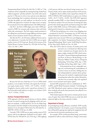Transportation Board, Ex Parte No. 664, Feb. 15, 2007, at 7 ("the weaknesses of the Comparable Accounting Earnings [method are] widely recognized," and that method is "not in line with current practice"); ("Because we strive to use a private sector adjustment factor methodology that is consistent with private-sector practice and that the public can easily replicate, we elected to use the CAPM-only approach to estimate the target return on equity for our priced services for implementation with 2006 pricing").

Like FCC, the Fed's CAPM aligns more with CAPMs presented to FERC by customer-side witnesses than with their utility-side counterparts. The Fed's equity market premium is the rolling forty-year historical average difference between equity market returns and three-month Treasury bill returns.

Also like the FCC, the Fed rejects additional factors such as a size adjustment. Currently, the Fed's CAPM uses an equity market return of 10.33 percent. Board of Governors of the Federal Reserve System, Docket No. OP-1636, 84 Fed. Reg. 1126, n.21, Feb. 1, 2019.



Because the Fed uses a bank beta of 1.0, its CAPM model produces a cost of equity, for banks, that equals this 10.33 percent equity market return: "2.01% + (1.0 \* 8.32%) = 10.33%." If applied to electric utility stocks' typical beta of about 0.75, the Fed model would indicate an equity cost of about 2.01%  $+(0.75 * 8.32\%) = 8.25\%$ .

### **Surface Transportation Board**

STB's approach, which has special relevance to electric utilities because it is used in setting rates for shipping coal by rail, combines two methods – CAPM and DCF. See Use of a Multi-Stage Discounted Cash Flow Model in Determining the Railroad Industry's Cost of Capital, STB Ex Parte No. 664 (Sub-No. 1), 2009 WL 197991, S.T.B. Jan. 23, 2009.

Currently, STB's CAPM uses an equity market return of 9.93 percent, with no size adjustment. Railroad Cost of Capital – 2018, STB Ex Parte No. 558 (Sub-No. 22), S.T.B. Aug. 5, 2019, applying a 3.02 percent risk-free rate derived using twenty-year U.S. Treasury bonds, and an equity market premium of 6.91 percent.

If applied to electric utilities stocks' typical beta of about 0.75, STB's CAPM for 2019 would indicate an equity cost of about  $3.02\% + (0.75 * 6.91\%) = 8.20\%.$  The STB's DCF approach generally resembles FERC's, in that it blends a first-stage growth rate based on analysts' five-year forecasts of earnings per share growth with a final-stage growth rate based on long-term GDP growth. Unlike FERC, however, STB includes a middle stage in which growth is based on a railroad-sector average.

STB also has jurisdiction over certain ocean shipping rates – transferred, by the ICC Termination Act of 1995, from the Federal Maritime Commission (FMC). STB does not actively regulate those rates, because STB views such shipping as workably competitive. See Surface Transportation Board, Notice of Proposed Rulemaking, Water Carrier Tariff Filing Procedures, 83 Fed. Reg. 66229, 66230 n.8, Dec. 26, 2018.

Were the STB to find an instance of market power and

proceed to set a cost-based rate reflecting water carriers' estimated cost of equity, however, the agency might consider the FMC's final estimation policy: Financial Reporting Requirements and Rate of Return Methodology in the Domestic Offshore Trades, Notice of Proposed Rulemaking, 59 Fed. Reg. 16592, Apr. 7, 1994, Final Rule, 60 Fed. Reg. 46047, Sept. 5, 1995.

It discontinued use of any comparable earnings test in determining the reasonableness of a carrier's return on rate base, finding that test "not well grounded in economic theory, primarily because the method is implemented using accounting data rather than market information, and does not accurately reflect the regulated

carrier's cost of common-stock equity capital."

Instead, FMC proposed to rely on a combination of, "DCF, CAPM, and RP [Risk Premium] methods." In finalizing the rule, FMC liberalized carriers' options to choose among those three methods and specify their parameters but adhered to its rejection of E/B ratios.

Other federal agencies that need to estimate private-sector costs of equity (but which FERC has not yet cited) also shed important light on the issues raised by Coakley.

### **Department of Energy**

In promulgating energy efficiency standards, DOE usually considers businesses' cost of equity, as part of assessing whether they will benefit by paying more upfront for equipment that will cost them less for electricity purchased over time.

For example, DOE recently prescribed energy conservation standards for walk-in coolers and freezers. Energy Conservation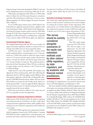Program: Energy Conservation Standards for Walk-In Cooler and Freezer Refrigeration Systems, 82 Fed. Reg. 31808, July 10, 2017.

Following its usual approach, DOE relied on a CAPM model alone to evaluate the cost of the equity that grocers, restaurants, and other affected businesses would have to invest in moreefficient equipment. See Technical Support Document, December 2016, Chapter 8.

For its CAPM equity market return, DOE looked to the Federal Reserve approach summarized above, applied to data from Damodaran Online. DOE thereby found rolling fortyyear historical averages of equity market returns for 1964-2004 through 1973-2013 that averaged 10.3 percent. For the general population of affected businesses, including those comparable in size to electric utilities, DOE did not apply a size adjustment.

### **Environmental Protection Agency**

The integrated planning model that EPA uses to predict the impact of emissions regulations includes an estimate of the cost of equity that utilities invest in electric generation plants.

In EPA's most recent – November 2018 – iteration of this model, regulated utilities' estimated equity cost is 7.2 percent, based on a CAPM-only model in which the equity market return is 9.75 percent and the equity market risk premium (above a 3.45 percent risk-free rate derived using twenty-year U.S. Treasury bonds) is 6.3 percent. This market premium is taken directly from Damodaran Online. EPA also corroborates its equity market return by reference to the 9.5 percent used by Duff and Phelps.

Unlike the FCC, Fed, STB, and DOE, EPA includes a size adjustment of forty-six basis points. More than offsetting this adjustment, however, EPA also applies another difference from those agencies' approaches, with the effect of substantially reducing the CAPM ROE found for electric utilities. EPA uses actual, observed Betas to estimate the risk of utility stocks relative to a broad equity portfolio – it does not apply the Blume adjustment that moves betas toward 1.0, thereby raising the lower Betas typically observed for electric utilities.

EPA's most recent beta for utilities is 0.53, rather than the 0.75 or so typically seen after that adjustment.

### **Transportation Command, Department of Defense**

Following the 1948-49 Berlin Airlift, the military organized and contracted with the Civil Reserve Air Fleet, under which commercial aviation supplements military airlift capability when needed and receives financial compensation that includes the cost of equity.

USTRANSCOMM negotiates the compensation formula, which by regulation is based on the CAPM method: it "considers RFR [Risk Free Rate], weighted betas, annualized equity risk premium and a future expected return premium." Ratemaking Procedures for Civil Reserve Air Fleet Contracts, Final Rule, 80 Fed. Reg. 30355, 30359, May 28, 2015; 32 C.F.R. § 243.4(e)  $(1)(i)(B)$ .

### **Securities & Exchange Commission**

SEC issued rules requiring broker-dealers to hold increased reserves, in order to protect consumers in the event of a default. To evaluate the economic impact of that requirement, SEC estimated the cost to broker-dealers of the additional equity they would need to maintain. It used a CAPM-only model, with "a risk-free rate of 2.5% and an equity risk premium of 7.8%."

This survey should be usefully considered alongside summaries of the equity cost estimation methods used by other nations' utility regulators, by state regulators, and by academic and financial market practitioners.

Financial Responsibility Rules for Broker-Dealers, 78 Fed. Reg. 51824, 51187, n.795, Aug. 21, 2013.

Thus, SEC's equity market return was 2.5%+7.8%=10.3%. SEC did not apply a size adjustment. See also Self-Regulatory Organizations; The Options Clearing Corporation; Order Disapproving Proposed Rule Change Concerning The Options Clearing Corporation's Capital Plan, 84 Fed. Reg. 5157, 5170, Feb. 20, 2019, rejecting a "risk premium associated with small stocks".

While the foregoing survey presents only principal, recent examples of each agency's approach to estimating equity costs, the survey fairly reflects

the findings of a comprehensive Lexis search for relevant terms of art in all Federal Registers, extending back to 1936.

This survey should be usefully considered alongside summaries of the equity cost estimation methods used by other nations' utility regulators (see Bente Villadsen, Michael J. Vilbert, Dan Harris, A. Lawrence Kolbe, Risk and Return for Regulated Industries 201-225 (Brattle Group/Academic Press 2018) (Brattle RRRI); Dr. J. Randall Woolridge, FERC eLibrary No 20190308-5263, Exhibit CAP-600 at 37-46), by state regulators (see Dr. S. Keith Berry, FERC eLibrary No. 20190822-5107, Exhibits SAM-0027 at 96 and SAM-0050), and by academic and financial market practitioners (see Dr. Bradford Cornell, FERC eLibrary No. 20190626-5146, Exhibit A-1 at 4-6).

## **Conclusion**

In both the federal agency survey and the referenced summaries *(Cont. on page 63)*